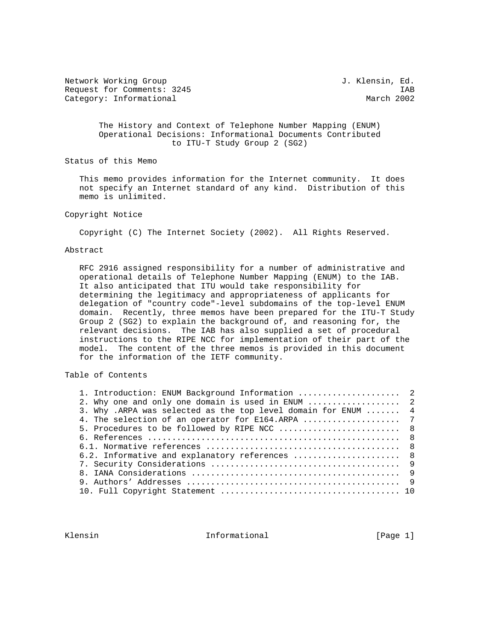Network Working Group 3. Wetwork Working Group 3. Klensin, Ed. Request for Comments: 3245 IAB<br>Category: Informational Category: Informational Category: Informational

 The History and Context of Telephone Number Mapping (ENUM) Operational Decisions: Informational Documents Contributed to ITU-T Study Group 2 (SG2)

Status of this Memo

 This memo provides information for the Internet community. It does not specify an Internet standard of any kind. Distribution of this memo is unlimited.

# Copyright Notice

Copyright (C) The Internet Society (2002). All Rights Reserved.

# Abstract

 RFC 2916 assigned responsibility for a number of administrative and operational details of Telephone Number Mapping (ENUM) to the IAB. It also anticipated that ITU would take responsibility for determining the legitimacy and appropriateness of applicants for delegation of "country code"-level subdomains of the top-level ENUM domain. Recently, three memos have been prepared for the ITU-T Study Group 2 (SG2) to explain the background of, and reasoning for, the relevant decisions. The IAB has also supplied a set of procedural instructions to the RIPE NCC for implementation of their part of the model. The content of the three memos is provided in this document for the information of the IETF community.

Table of Contents

| 1. Introduction: ENUM Background Information  2               |  |
|---------------------------------------------------------------|--|
|                                                               |  |
| 3. Why .ARPA was selected as the top level domain for ENUM  4 |  |
|                                                               |  |
| 5. Procedures to be followed by RIPE NCC  8                   |  |
|                                                               |  |
|                                                               |  |
| 6.2. Informative and explanatory references  8                |  |
|                                                               |  |
|                                                               |  |
|                                                               |  |
|                                                               |  |
|                                                               |  |

Klensin 10 Informational 1999 [Page 1]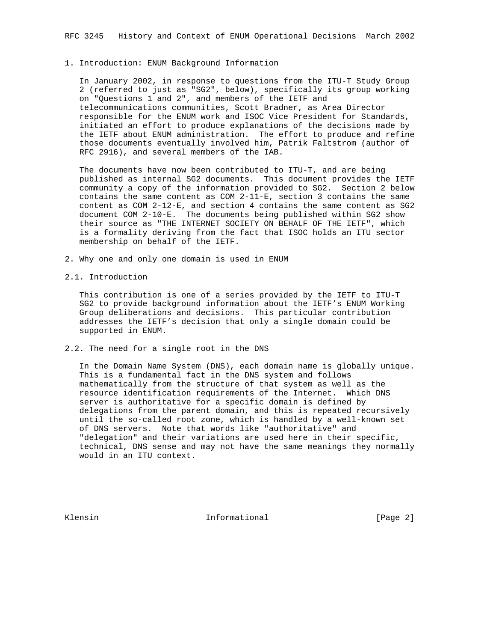### 1. Introduction: ENUM Background Information

 In January 2002, in response to questions from the ITU-T Study Group 2 (referred to just as "SG2", below), specifically its group working on "Questions 1 and 2", and members of the IETF and telecommunications communities, Scott Bradner, as Area Director responsible for the ENUM work and ISOC Vice President for Standards, initiated an effort to produce explanations of the decisions made by the IETF about ENUM administration. The effort to produce and refine those documents eventually involved him, Patrik Faltstrom (author of RFC 2916), and several members of the IAB.

 The documents have now been contributed to ITU-T, and are being published as internal SG2 documents. This document provides the IETF community a copy of the information provided to SG2. Section 2 below contains the same content as COM 2-11-E, section 3 contains the same content as COM 2-12-E, and section 4 contains the same content as SG2 document COM 2-10-E. The documents being published within SG2 show their source as "THE INTERNET SOCIETY ON BEHALF OF THE IETF", which is a formality deriving from the fact that ISOC holds an ITU sector membership on behalf of the IETF.

- 2. Why one and only one domain is used in ENUM
- 2.1. Introduction

 This contribution is one of a series provided by the IETF to ITU-T SG2 to provide background information about the IETF's ENUM Working Group deliberations and decisions. This particular contribution addresses the IETF's decision that only a single domain could be supported in ENUM.

2.2. The need for a single root in the DNS

 In the Domain Name System (DNS), each domain name is globally unique. This is a fundamental fact in the DNS system and follows mathematically from the structure of that system as well as the resource identification requirements of the Internet. Which DNS server is authoritative for a specific domain is defined by delegations from the parent domain, and this is repeated recursively until the so-called root zone, which is handled by a well-known set of DNS servers. Note that words like "authoritative" and "delegation" and their variations are used here in their specific, technical, DNS sense and may not have the same meanings they normally would in an ITU context.

Klensin 10 and 10 and 111 and 111 and 111 and 112 and 112 and 112 and 123 and 124 and 125 and 127 and 128 and 1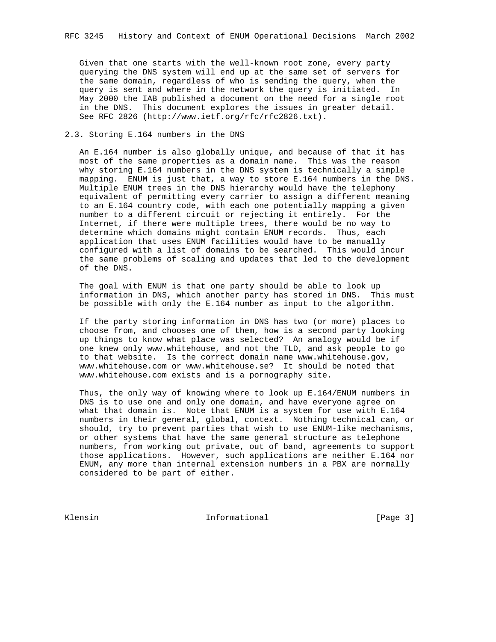Given that one starts with the well-known root zone, every party querying the DNS system will end up at the same set of servers for the same domain, regardless of who is sending the query, when the query is sent and where in the network the query is initiated. In May 2000 the IAB published a document on the need for a single root in the DNS. This document explores the issues in greater detail. See RFC 2826 (http://www.ietf.org/rfc/rfc2826.txt).

# 2.3. Storing E.164 numbers in the DNS

 An E.164 number is also globally unique, and because of that it has most of the same properties as a domain name. This was the reason why storing E.164 numbers in the DNS system is technically a simple mapping. ENUM is just that, a way to store E.164 numbers in the DNS. Multiple ENUM trees in the DNS hierarchy would have the telephony equivalent of permitting every carrier to assign a different meaning to an E.164 country code, with each one potentially mapping a given number to a different circuit or rejecting it entirely. For the Internet, if there were multiple trees, there would be no way to determine which domains might contain ENUM records. Thus, each application that uses ENUM facilities would have to be manually configured with a list of domains to be searched. This would incur the same problems of scaling and updates that led to the development of the DNS.

 The goal with ENUM is that one party should be able to look up information in DNS, which another party has stored in DNS. This must be possible with only the E.164 number as input to the algorithm.

 If the party storing information in DNS has two (or more) places to choose from, and chooses one of them, how is a second party looking up things to know what place was selected? An analogy would be if one knew only www.whitehouse, and not the TLD, and ask people to go to that website. Is the correct domain name www.whitehouse.gov, www.whitehouse.com or www.whitehouse.se? It should be noted that www.whitehouse.com exists and is a pornography site.

 Thus, the only way of knowing where to look up E.164/ENUM numbers in DNS is to use one and only one domain, and have everyone agree on what that domain is. Note that ENUM is a system for use with E.164 numbers in their general, global, context. Nothing technical can, or should, try to prevent parties that wish to use ENUM-like mechanisms, or other systems that have the same general structure as telephone numbers, from working out private, out of band, agreements to support those applications. However, such applications are neither E.164 nor ENUM, any more than internal extension numbers in a PBX are normally considered to be part of either.

Klensin 10 Informational [Page 3]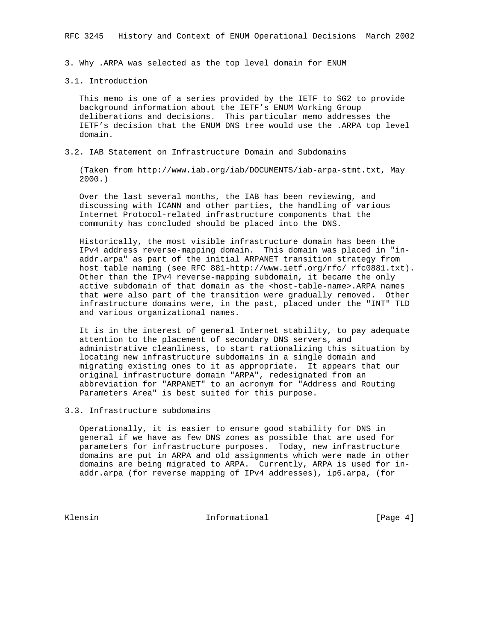3. Why .ARPA was selected as the top level domain for ENUM

#### 3.1. Introduction

 This memo is one of a series provided by the IETF to SG2 to provide background information about the IETF's ENUM Working Group deliberations and decisions. This particular memo addresses the IETF's decision that the ENUM DNS tree would use the .ARPA top level domain.

3.2. IAB Statement on Infrastructure Domain and Subdomains

 (Taken from http://www.iab.org/iab/DOCUMENTS/iab-arpa-stmt.txt, May 2000.)

 Over the last several months, the IAB has been reviewing, and discussing with ICANN and other parties, the handling of various Internet Protocol-related infrastructure components that the community has concluded should be placed into the DNS.

 Historically, the most visible infrastructure domain has been the IPv4 address reverse-mapping domain. This domain was placed in "in addr.arpa" as part of the initial ARPANET transition strategy from host table naming (see RFC 881-http://www.ietf.org/rfc/ rfc0881.txt). Other than the IPv4 reverse-mapping subdomain, it became the only active subdomain of that domain as the <host-table-name>.ARPA names that were also part of the transition were gradually removed. Other infrastructure domains were, in the past, placed under the "INT" TLD and various organizational names.

 It is in the interest of general Internet stability, to pay adequate attention to the placement of secondary DNS servers, and administrative cleanliness, to start rationalizing this situation by locating new infrastructure subdomains in a single domain and migrating existing ones to it as appropriate. It appears that our original infrastructure domain "ARPA", redesignated from an abbreviation for "ARPANET" to an acronym for "Address and Routing Parameters Area" is best suited for this purpose.

# 3.3. Infrastructure subdomains

 Operationally, it is easier to ensure good stability for DNS in general if we have as few DNS zones as possible that are used for parameters for infrastructure purposes. Today, new infrastructure domains are put in ARPA and old assignments which were made in other domains are being migrated to ARPA. Currently, ARPA is used for in addr.arpa (for reverse mapping of IPv4 addresses), ip6.arpa, (for

Klensin 10 Informational 11 Page 4]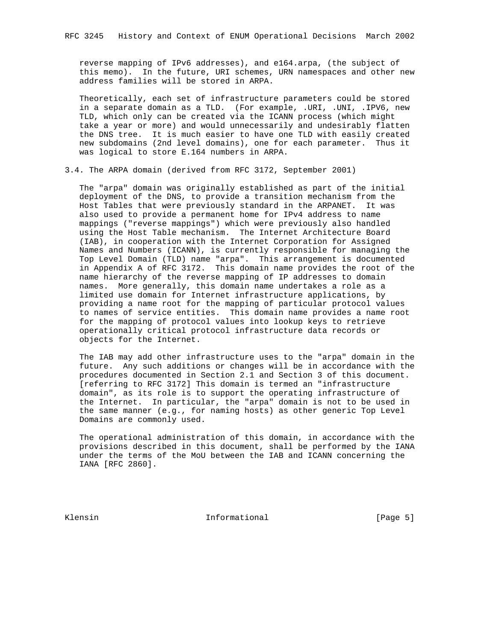reverse mapping of IPv6 addresses), and e164.arpa, (the subject of this memo). In the future, URI schemes, URN namespaces and other new address families will be stored in ARPA.

 Theoretically, each set of infrastructure parameters could be stored in a separate domain as a TLD. (For example, .URI, .UNI, .IPV6, new TLD, which only can be created via the ICANN process (which might take a year or more) and would unnecessarily and undesirably flatten the DNS tree. It is much easier to have one TLD with easily created new subdomains (2nd level domains), one for each parameter. Thus it was logical to store E.164 numbers in ARPA.

3.4. The ARPA domain (derived from RFC 3172, September 2001)

 The "arpa" domain was originally established as part of the initial deployment of the DNS, to provide a transition mechanism from the Host Tables that were previously standard in the ARPANET. It was also used to provide a permanent home for IPv4 address to name mappings ("reverse mappings") which were previously also handled using the Host Table mechanism. The Internet Architecture Board (IAB), in cooperation with the Internet Corporation for Assigned Names and Numbers (ICANN), is currently responsible for managing the Top Level Domain (TLD) name "arpa". This arrangement is documented in Appendix A of RFC 3172. This domain name provides the root of the name hierarchy of the reverse mapping of IP addresses to domain names. More generally, this domain name undertakes a role as a limited use domain for Internet infrastructure applications, by providing a name root for the mapping of particular protocol values to names of service entities. This domain name provides a name root for the mapping of protocol values into lookup keys to retrieve operationally critical protocol infrastructure data records or objects for the Internet.

 The IAB may add other infrastructure uses to the "arpa" domain in the future. Any such additions or changes will be in accordance with the procedures documented in Section 2.1 and Section 3 of this document. [referring to RFC 3172] This domain is termed an "infrastructure domain", as its role is to support the operating infrastructure of the Internet. In particular, the "arpa" domain is not to be used in the same manner (e.g., for naming hosts) as other generic Top Level Domains are commonly used.

 The operational administration of this domain, in accordance with the provisions described in this document, shall be performed by the IANA under the terms of the MoU between the IAB and ICANN concerning the IANA [RFC 2860].

Klensin 10 and 10 and 11 and 11 and 11 and 12 and 12 and 12 and 12 and 12 and 12 and 12 and 12 and 12 and 12 and 12 and 12 and 12 and 12 and 12 and 12 and 12 and 12 and 12 and 12 and 12 and 12 and 12 and 12 and 12 and 12 a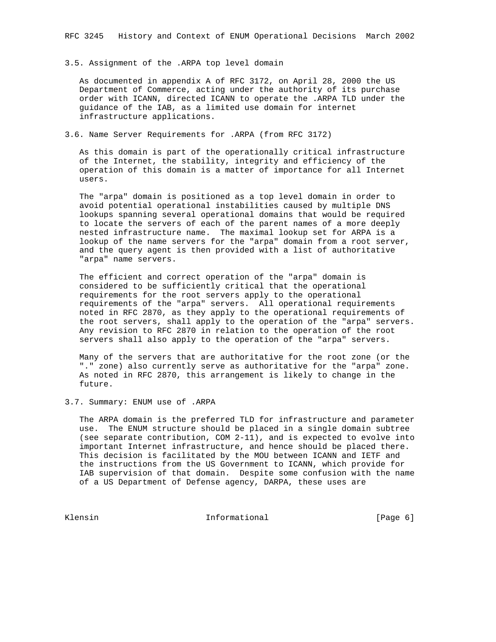### 3.5. Assignment of the .ARPA top level domain

 As documented in appendix A of RFC 3172, on April 28, 2000 the US Department of Commerce, acting under the authority of its purchase order with ICANN, directed ICANN to operate the .ARPA TLD under the guidance of the IAB, as a limited use domain for internet infrastructure applications.

3.6. Name Server Requirements for .ARPA (from RFC 3172)

 As this domain is part of the operationally critical infrastructure of the Internet, the stability, integrity and efficiency of the operation of this domain is a matter of importance for all Internet users.

 The "arpa" domain is positioned as a top level domain in order to avoid potential operational instabilities caused by multiple DNS lookups spanning several operational domains that would be required to locate the servers of each of the parent names of a more deeply nested infrastructure name. The maximal lookup set for ARPA is a lookup of the name servers for the "arpa" domain from a root server, and the query agent is then provided with a list of authoritative "arpa" name servers.

 The efficient and correct operation of the "arpa" domain is considered to be sufficiently critical that the operational requirements for the root servers apply to the operational requirements of the "arpa" servers. All operational requirements noted in RFC 2870, as they apply to the operational requirements of the root servers, shall apply to the operation of the "arpa" servers. Any revision to RFC 2870 in relation to the operation of the root servers shall also apply to the operation of the "arpa" servers.

 Many of the servers that are authoritative for the root zone (or the "." zone) also currently serve as authoritative for the "arpa" zone. As noted in RFC 2870, this arrangement is likely to change in the future.

3.7. Summary: ENUM use of .ARPA

 The ARPA domain is the preferred TLD for infrastructure and parameter use. The ENUM structure should be placed in a single domain subtree (see separate contribution, COM 2-11), and is expected to evolve into important Internet infrastructure, and hence should be placed there. This decision is facilitated by the MOU between ICANN and IETF and the instructions from the US Government to ICANN, which provide for IAB supervision of that domain. Despite some confusion with the name of a US Department of Defense agency, DARPA, these uses are

Klensin 10 Informational 10 Informational [Page 6]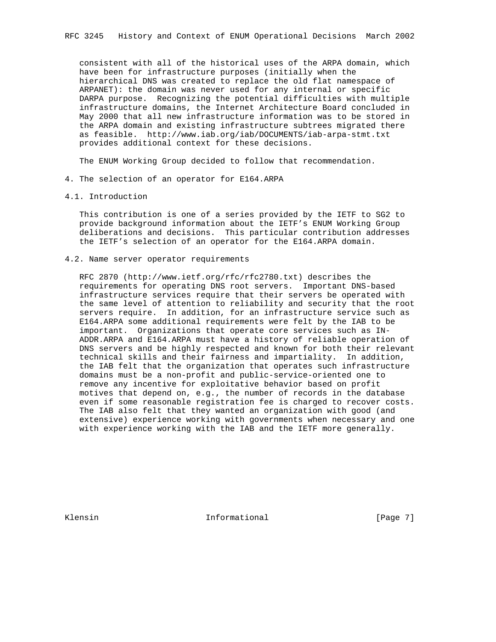consistent with all of the historical uses of the ARPA domain, which have been for infrastructure purposes (initially when the hierarchical DNS was created to replace the old flat namespace of ARPANET): the domain was never used for any internal or specific DARPA purpose. Recognizing the potential difficulties with multiple infrastructure domains, the Internet Architecture Board concluded in May 2000 that all new infrastructure information was to be stored in the ARPA domain and existing infrastructure subtrees migrated there as feasible. http://www.iab.org/iab/DOCUMENTS/iab-arpa-stmt.txt provides additional context for these decisions.

The ENUM Working Group decided to follow that recommendation.

- 4. The selection of an operator for E164.ARPA
- 4.1. Introduction

 This contribution is one of a series provided by the IETF to SG2 to provide background information about the IETF's ENUM Working Group deliberations and decisions. This particular contribution addresses the IETF's selection of an operator for the E164.ARPA domain.

4.2. Name server operator requirements

 RFC 2870 (http://www.ietf.org/rfc/rfc2780.txt) describes the requirements for operating DNS root servers. Important DNS-based infrastructure services require that their servers be operated with the same level of attention to reliability and security that the root servers require. In addition, for an infrastructure service such as E164.ARPA some additional requirements were felt by the IAB to be important. Organizations that operate core services such as IN- ADDR.ARPA and E164.ARPA must have a history of reliable operation of DNS servers and be highly respected and known for both their relevant technical skills and their fairness and impartiality. In addition, the IAB felt that the organization that operates such infrastructure domains must be a non-profit and public-service-oriented one to remove any incentive for exploitative behavior based on profit motives that depend on, e.g., the number of records in the database even if some reasonable registration fee is charged to recover costs. The IAB also felt that they wanted an organization with good (and extensive) experience working with governments when necessary and one with experience working with the IAB and the IETF more generally.

Klensin 10 Informational [Page 7]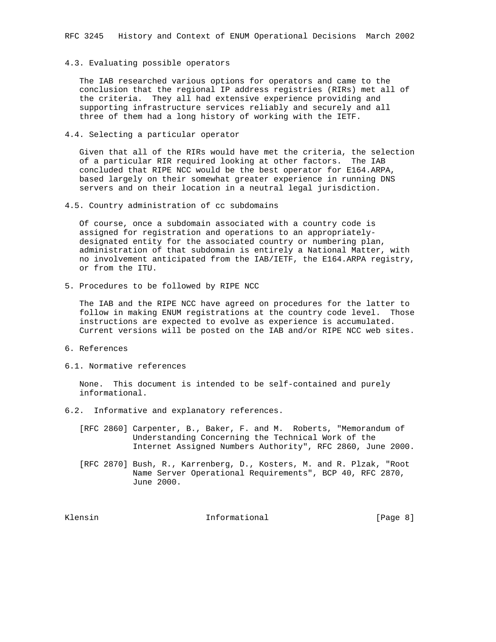### 4.3. Evaluating possible operators

 The IAB researched various options for operators and came to the conclusion that the regional IP address registries (RIRs) met all of the criteria. They all had extensive experience providing and supporting infrastructure services reliably and securely and all three of them had a long history of working with the IETF.

4.4. Selecting a particular operator

 Given that all of the RIRs would have met the criteria, the selection of a particular RIR required looking at other factors. The IAB concluded that RIPE NCC would be the best operator for E164.ARPA, based largely on their somewhat greater experience in running DNS servers and on their location in a neutral legal jurisdiction.

4.5. Country administration of cc subdomains

 Of course, once a subdomain associated with a country code is assigned for registration and operations to an appropriately designated entity for the associated country or numbering plan, administration of that subdomain is entirely a National Matter, with no involvement anticipated from the IAB/IETF, the E164.ARPA registry, or from the ITU.

5. Procedures to be followed by RIPE NCC

 The IAB and the RIPE NCC have agreed on procedures for the latter to follow in making ENUM registrations at the country code level. Those instructions are expected to evolve as experience is accumulated. Current versions will be posted on the IAB and/or RIPE NCC web sites.

- 6. References
- 6.1. Normative references

 None. This document is intended to be self-contained and purely informational.

- 6.2. Informative and explanatory references.
	- [RFC 2860] Carpenter, B., Baker, F. and M. Roberts, "Memorandum of Understanding Concerning the Technical Work of the Internet Assigned Numbers Authority", RFC 2860, June 2000.
	- [RFC 2870] Bush, R., Karrenberg, D., Kosters, M. and R. Plzak, "Root Name Server Operational Requirements", BCP 40, RFC 2870, June 2000.

Klensin 10 Informational 1999 [Page 8]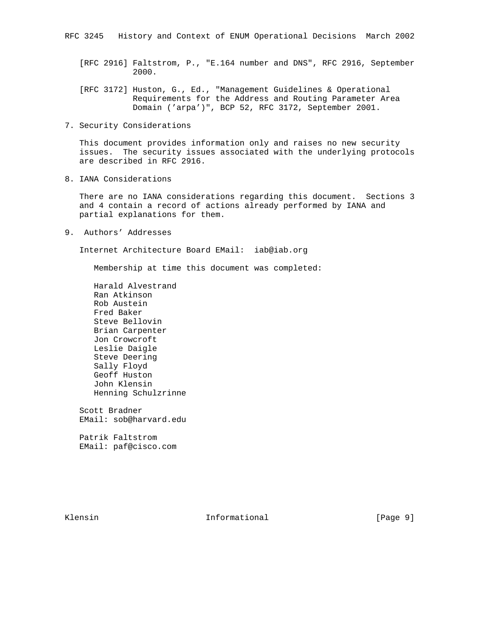- [RFC 2916] Faltstrom, P., "E.164 number and DNS", RFC 2916, September 2000.
- [RFC 3172] Huston, G., Ed., "Management Guidelines & Operational Requirements for the Address and Routing Parameter Area Domain ('arpa')", BCP 52, RFC 3172, September 2001.
- 7. Security Considerations

 This document provides information only and raises no new security issues. The security issues associated with the underlying protocols are described in RFC 2916.

8. IANA Considerations

 There are no IANA considerations regarding this document. Sections 3 and 4 contain a record of actions already performed by IANA and partial explanations for them.

9. Authors' Addresses

Internet Architecture Board EMail: iab@iab.org

Membership at time this document was completed:

 Harald Alvestrand Ran Atkinson Rob Austein Fred Baker Steve Bellovin Brian Carpenter Jon Crowcroft Leslie Daigle Steve Deering Sally Floyd Geoff Huston John Klensin Henning Schulzrinne

 Scott Bradner EMail: sob@harvard.edu

 Patrik Faltstrom EMail: paf@cisco.com

Klensin 10 Informational 1999 [Page 9]